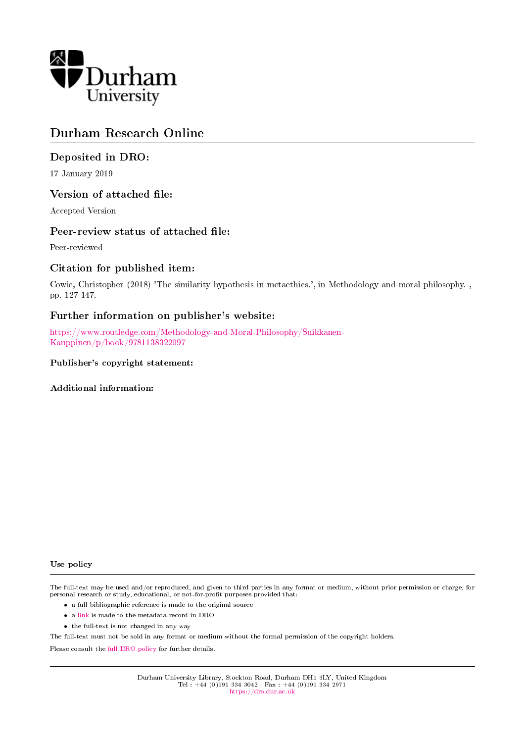

# Durham Research Online

### Deposited in DRO:

17 January 2019

### Version of attached file:

Accepted Version

#### Peer-review status of attached file:

Peer-reviewed

### Citation for published item:

Cowie, Christopher (2018) 'The similarity hypothesis in metaethics.', in Methodology and moral philosophy. , pp. 127-147.

### Further information on publisher's website:

[https://www.routledge.com/Methodology-and-Moral-Philosophy/Suikkanen-](https://www.routledge.com/Methodology-and-Moral-Philosophy/Suikkanen-Kauppinen/p/book/9781138322097)[Kauppinen/p/book/9781138322097](https://www.routledge.com/Methodology-and-Moral-Philosophy/Suikkanen-Kauppinen/p/book/9781138322097)

#### Publisher's copyright statement:

Additional information:

#### Use policy

The full-text may be used and/or reproduced, and given to third parties in any format or medium, without prior permission or charge, for personal research or study, educational, or not-for-profit purposes provided that:

- a full bibliographic reference is made to the original source
- a [link](http://dro.dur.ac.uk/27210/) is made to the metadata record in DRO
- the full-text is not changed in any way

The full-text must not be sold in any format or medium without the formal permission of the copyright holders.

Please consult the [full DRO policy](https://dro.dur.ac.uk/policies/usepolicy.pdf) for further details.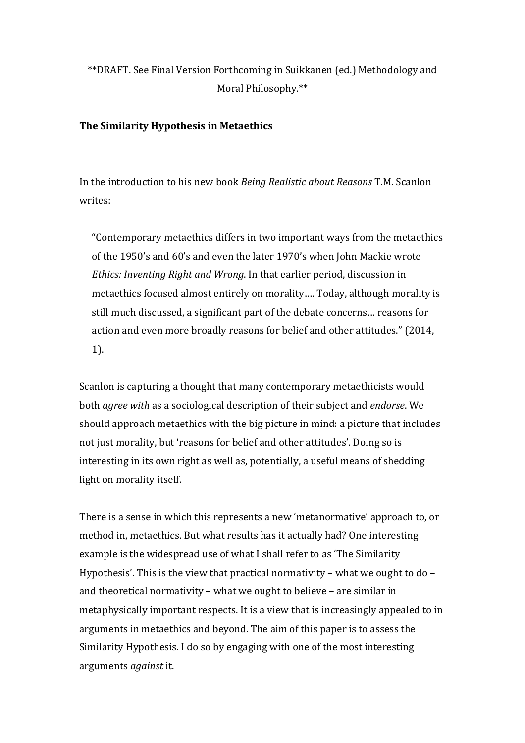# \*\*DRAFT. See Final Version Forthcoming in Suikkanen (ed.) Methodology and Moral Philosophy.\*\*

### **The Similarity Hypothesis in Metaethics**

In the introduction to his new book *Being Realistic about Reasons* T.M. Scanlon writes:

"Contemporary metaethics differs in two important ways from the metaethics of the 1950's and 60's and even the later 1970's when John Mackie wrote *Ethics: Inventing Right and Wrong.* In that earlier period, discussion in metaethics focused almost entirely on morality.... Today, although morality is still much discussed, a significant part of the debate concerns... reasons for action and even more broadly reasons for belief and other attitudes." (2014, 1).

Scanlon is capturing a thought that many contemporary metaethicists would both *agree with* as a sociological description of their subject and *endorse*. We should approach metaethics with the big picture in mind: a picture that includes not just morality, but 'reasons for belief and other attitudes'. Doing so is interesting in its own right as well as, potentially, a useful means of shedding light on morality itself.

There is a sense in which this represents a new 'metanormative' approach to, or method in, metaethics. But what results has it actually had? One interesting example is the widespread use of what I shall refer to as 'The Similarity Hypothesis'. This is the view that practical normativity – what we ought to do – and theoretical normativity  $-$  what we ought to believe  $-$  are similar in metaphysically important respects. It is a view that is increasingly appealed to in arguments in metaethics and beyond. The aim of this paper is to assess the Similarity Hypothesis. I do so by engaging with one of the most interesting arguments *against* it.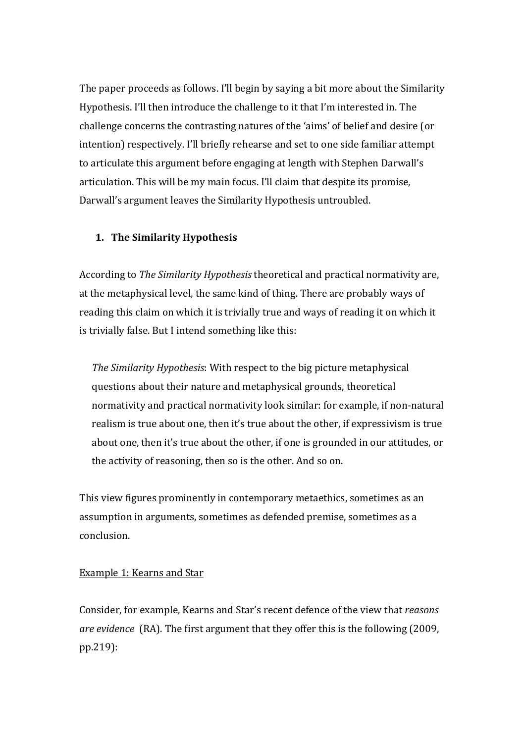The paper proceeds as follows. I'll begin by saying a bit more about the Similarity Hypothesis. I'll then introduce the challenge to it that I'm interested in. The challenge concerns the contrasting natures of the 'aims' of belief and desire (or intention) respectively. I'll briefly rehearse and set to one side familiar attempt to articulate this argument before engaging at length with Stephen Darwall's articulation. This will be my main focus. I'll claim that despite its promise, Darwall's argument leaves the Similarity Hypothesis untroubled.

### **1. The Similarity Hypothesis**

According to *The Similarity Hypothesis* theoretical and practical normativity are, at the metaphysical level, the same kind of thing. There are probably ways of reading this claim on which it is trivially true and ways of reading it on which it is trivially false. But I intend something like this:

*The Similarity Hypothesis:* With respect to the big picture metaphysical questions about their nature and metaphysical grounds, theoretical normativity and practical normativity look similar: for example, if non-natural realism is true about one, then it's true about the other, if expressivism is true about one, then it's true about the other, if one is grounded in our attitudes, or the activity of reasoning, then so is the other. And so on.

This view figures prominently in contemporary metaethics, sometimes as an assumption in arguments, sometimes as defended premise, sometimes as a conclusion.

### Example 1: Kearns and Star

Consider, for example, Kearns and Star's recent defence of the view that *reasons are evidence* (RA). The first argument that they offer this is the following (2009, pp.219):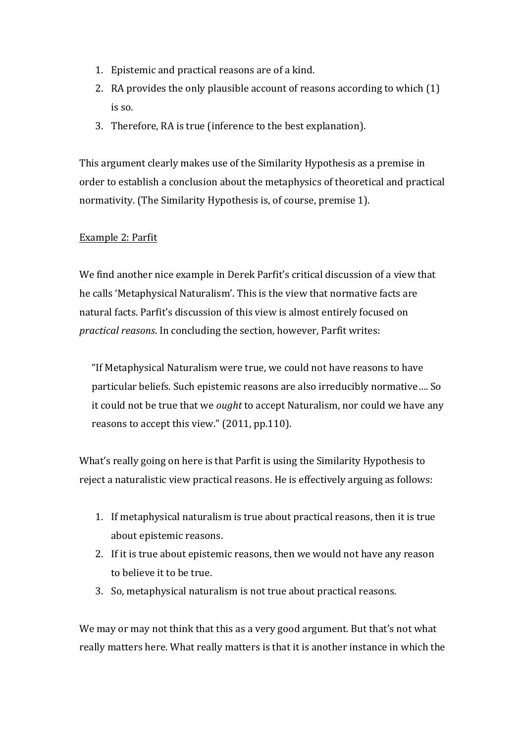- 1. Epistemic and practical reasons are of a kind.
- 2. RA provides the only plausible account of reasons according to which  $(1)$ is so.
- 3. Therefore, RA is true (inference to the best explanation).

This argument clearly makes use of the Similarity Hypothesis as a premise in order to establish a conclusion about the metaphysics of theoretical and practical normativity. (The Similarity Hypothesis is, of course, premise 1).

### Example 2: Parfit

We find another nice example in Derek Parfit's critical discussion of a view that he calls 'Metaphysical Naturalism'. This is the view that normative facts are natural facts. Parfit's discussion of this view is almost entirely focused on *practical reasons*. In concluding the section, however, Parfit writes:

"If Metaphysical Naturalism were true, we could not have reasons to have particular beliefs. Such epistemic reasons are also irreducibly normative.... So it could not be true that we *ought* to accept Naturalism, nor could we have any reasons to accept this view."  $(2011, pp.110)$ .

What's really going on here is that Parfit is using the Similarity Hypothesis to reject a naturalistic view practical reasons. He is effectively arguing as follows:

- 1. If metaphysical naturalism is true about practical reasons, then it is true about epistemic reasons.
- 2. If it is true about epistemic reasons, then we would not have any reason to believe it to be true.
- 3. So, metaphysical naturalism is not true about practical reasons.

We may or may not think that this as a very good argument. But that's not what really matters here. What really matters is that it is another instance in which the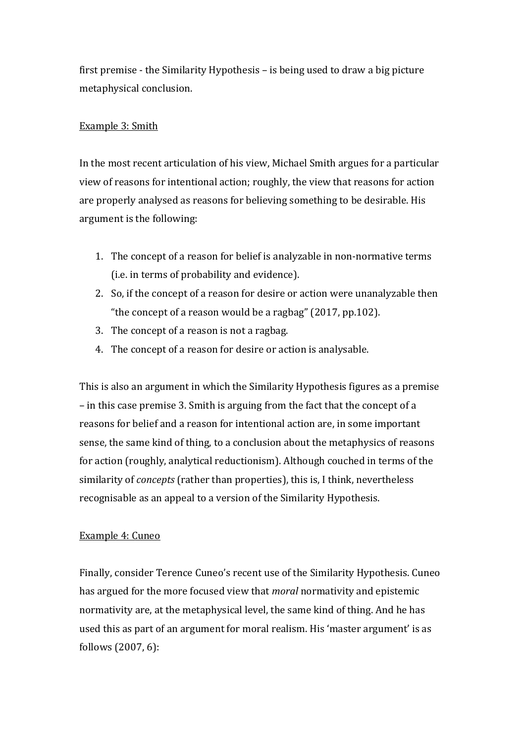first premise - the Similarity Hypothesis  $-$  is being used to draw a big picture metaphysical conclusion.

### Example 3: Smith

In the most recent articulation of his view, Michael Smith argues for a particular view of reasons for intentional action; roughly, the view that reasons for action are properly analysed as reasons for believing something to be desirable. His argument is the following:

- 1. The concept of a reason for belief is analyzable in non-normative terms (i.e. in terms of probability and evidence).
- 2. So, if the concept of a reason for desire or action were unanalyzable then "the concept of a reason would be a ragbag"  $(2017, pp.102)$ .
- 3. The concept of a reason is not a ragbag.
- 4. The concept of a reason for desire or action is analysable.

This is also an argument in which the Similarity Hypothesis figures as a premise – in this case premise 3. Smith is arguing from the fact that the concept of a reasons for belief and a reason for intentional action are, in some important sense, the same kind of thing, to a conclusion about the metaphysics of reasons for action (roughly, analytical reductionism). Although couched in terms of the similarity of *concepts* (rather than properties), this is, I think, nevertheless recognisable as an appeal to a version of the Similarity Hypothesis.

### Example 4: Cuneo

Finally, consider Terence Cuneo's recent use of the Similarity Hypothesis. Cuneo has argued for the more focused view that *moral* normativity and epistemic normativity are, at the metaphysical level, the same kind of thing. And he has used this as part of an argument for moral realism. His 'master argument' is as follows  $(2007, 6)$ :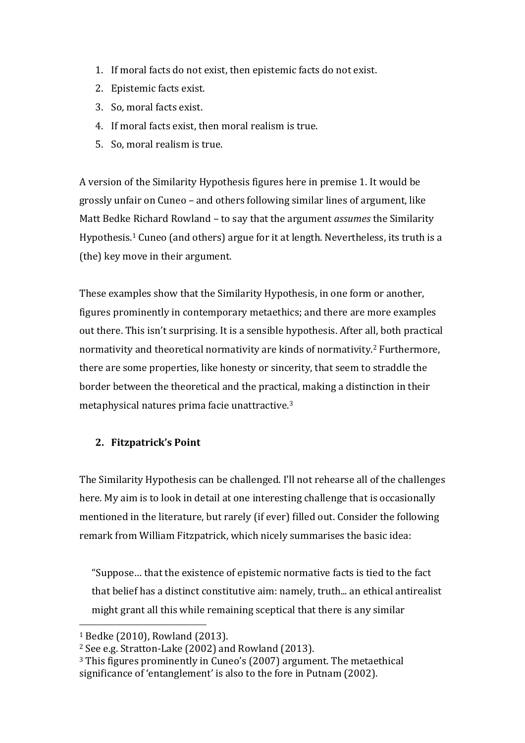- 1. If moral facts do not exist, then epistemic facts do not exist.
- 2. Epistemic facts exist.
- 3. So, moral facts exist.
- 4. If moral facts exist, then moral realism is true.
- 5. So, moral realism is true.

A version of the Similarity Hypothesis figures here in premise 1. It would be grossly unfair on Cuneo – and others following similar lines of argument, like Matt Bedke Richard Rowland – to say that the argument *assumes* the Similarity Hypothesis.<sup>1</sup> Cuneo (and others) argue for it at length. Nevertheless, its truth is a (the) key move in their argument.

These examples show that the Similarity Hypothesis, in one form or another, figures prominently in contemporary metaethics; and there are more examples out there. This isn't surprising. It is a sensible hypothesis. After all, both practical normativity and theoretical normativity are kinds of normativity.<sup>2</sup> Furthermore, there are some properties, like honesty or sincerity, that seem to straddle the border between the theoretical and the practical, making a distinction in their metaphysical natures prima facie unattractive. $3$ 

## **2. Fitzpatrick's Point**

The Similarity Hypothesis can be challenged. I'll not rehearse all of the challenges here. My aim is to look in detail at one interesting challenge that is occasionally mentioned in the literature, but rarely (if ever) filled out. Consider the following remark from William Fitzpatrick, which nicely summarises the basic idea:

"Suppose... that the existence of epistemic normative facts is tied to the fact that belief has a distinct constitutive aim: namely, truth... an ethical antirealist might grant all this while remaining sceptical that there is any similar

<sup>&</sup>lt;sup>1</sup> Bedke (2010), Rowland (2013).

 $2$  See e.g. Stratton-Lake (2002) and Rowland (2013).

 $3$  This figures prominently in Cuneo's (2007) argument. The metaethical significance of 'entanglement' is also to the fore in Putnam (2002).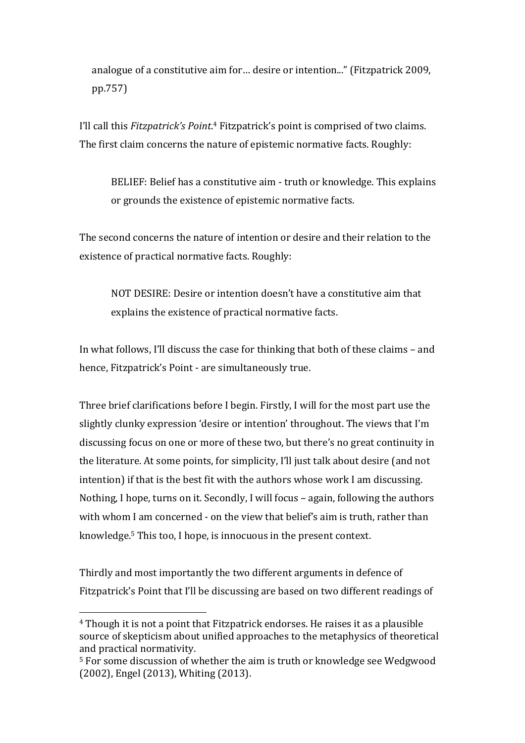analogue of a constitutive aim for... desire or intention..." (Fitzpatrick 2009, pp.757)

I'll call this *Fitzpatrick's Point*.<sup>4</sup> Fitzpatrick's point is comprised of two claims. The first claim concerns the nature of epistemic normative facts. Roughly:

BELIEF: Belief has a constitutive aim - truth or knowledge. This explains or grounds the existence of epistemic normative facts.

The second concerns the nature of intention or desire and their relation to the existence of practical normative facts. Roughly:

NOT DESIRE: Desire or intention doesn't have a constitutive aim that explains the existence of practical normative facts.

In what follows, I'll discuss the case for thinking that both of these claims – and hence, Fitzpatrick's Point - are simultaneously true.

Three brief clarifications before I begin. Firstly, I will for the most part use the slightly clunky expression 'desire or intention' throughout. The views that I'm discussing focus on one or more of these two, but there's no great continuity in the literature. At some points, for simplicity, I'll just talk about desire (and not intention) if that is the best fit with the authors whose work I am discussing. Nothing, I hope, turns on it. Secondly, I will focus – again, following the authors with whom I am concerned - on the view that belief's aim is truth, rather than knowledge. $5$  This too, I hope, is innocuous in the present context.

Thirdly and most importantly the two different arguments in defence of Fitzpatrick's Point that I'll be discussing are based on two different readings of

<sup>&</sup>lt;sup>4</sup> Though it is not a point that Fitzpatrick endorses. He raises it as a plausible source of skepticism about unified approaches to the metaphysics of theoretical and practical normativity.

<sup>&</sup>lt;sup>5</sup> For some discussion of whether the aim is truth or knowledge see Wedgwood (2002), Engel (2013), Whiting (2013).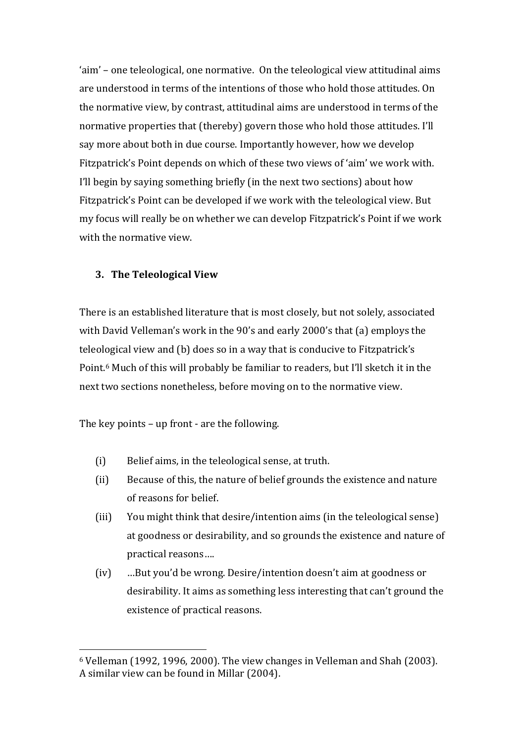'aim' – one teleological, one normative. On the teleological view attitudinal aims are understood in terms of the intentions of those who hold those attitudes. On the normative view, by contrast, attitudinal aims are understood in terms of the normative properties that (thereby) govern those who hold those attitudes. I'll say more about both in due course. Importantly however, how we develop Fitzpatrick's Point depends on which of these two views of 'aim' we work with. I'll begin by saying something briefly (in the next two sections) about how Fitzpatrick's Point can be developed if we work with the teleological view. But my focus will really be on whether we can develop Fitzpatrick's Point if we work with the normative view.

### **3. The Teleological View**

There is an established literature that is most closely, but not solely, associated with David Velleman's work in the 90's and early 2000's that (a) employs the teleological view and (b) does so in a way that is conducive to Fitzpatrick's Point.<sup>6</sup> Much of this will probably be familiar to readers, but I'll sketch it in the next two sections nonetheless, before moving on to the normative view.

The key points  $-$  up front  $-$  are the following.

- $(i)$  Belief aims, in the teleological sense, at truth.
- (ii) Because of this, the nature of belief grounds the existence and nature of reasons for belief.
- (iii) You might think that desire/intention aims (in the teleological sense) at goodness or desirability, and so grounds the existence and nature of practical reasons....
- (iv) ...But you'd be wrong. Desire/intention doesn't aim at goodness or desirability. It aims as something less interesting that can't ground the existence of practical reasons.

 $6$  Velleman (1992, 1996, 2000). The view changes in Velleman and Shah (2003). A similar view can be found in Millar (2004).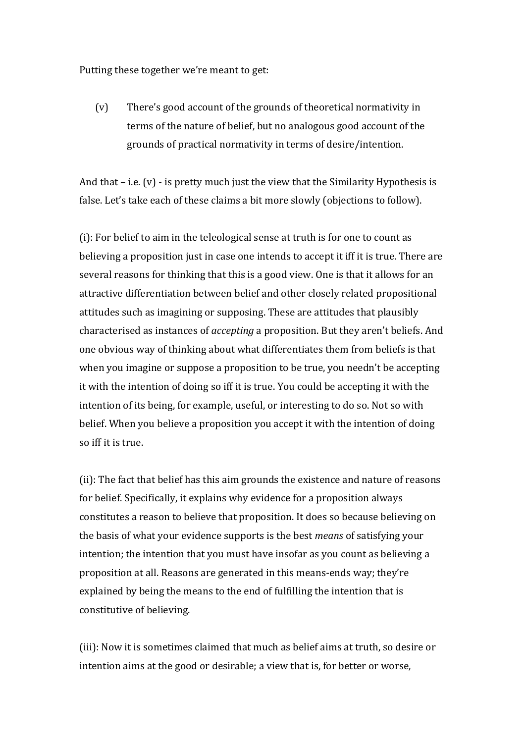Putting these together we're meant to get:

 $(v)$  There's good account of the grounds of theoretical normativity in terms of the nature of belief, but no analogous good account of the grounds of practical normativity in terms of desire/intention.

And that  $-$  i.e.  $(v)$  - is pretty much just the view that the Similarity Hypothesis is false. Let's take each of these claims a bit more slowly (objections to follow).

 $(i)$ : For belief to aim in the teleological sense at truth is for one to count as believing a proposition just in case one intends to accept it iff it is true. There are several reasons for thinking that this is a good view. One is that it allows for an attractive differentiation between belief and other closely related propositional attitudes such as imagining or supposing. These are attitudes that plausibly characterised as instances of *accepting* a proposition. But they aren't beliefs. And one obvious way of thinking about what differentiates them from beliefs is that when you imagine or suppose a proposition to be true, you needn't be accepting it with the intention of doing so iff it is true. You could be accepting it with the intention of its being, for example, useful, or interesting to do so. Not so with belief. When you believe a proposition you accept it with the intention of doing so iff it is true.

(ii): The fact that belief has this aim grounds the existence and nature of reasons for belief. Specifically, it explains why evidence for a proposition always constitutes a reason to believe that proposition. It does so because believing on the basis of what your evidence supports is the best *means* of satisfying your intention; the intention that you must have insofar as you count as believing a proposition at all. Reasons are generated in this means-ends way; they're explained by being the means to the end of fulfilling the intention that is constitutive of believing.

(iii): Now it is sometimes claimed that much as belief aims at truth, so desire or intention aims at the good or desirable; a view that is, for better or worse,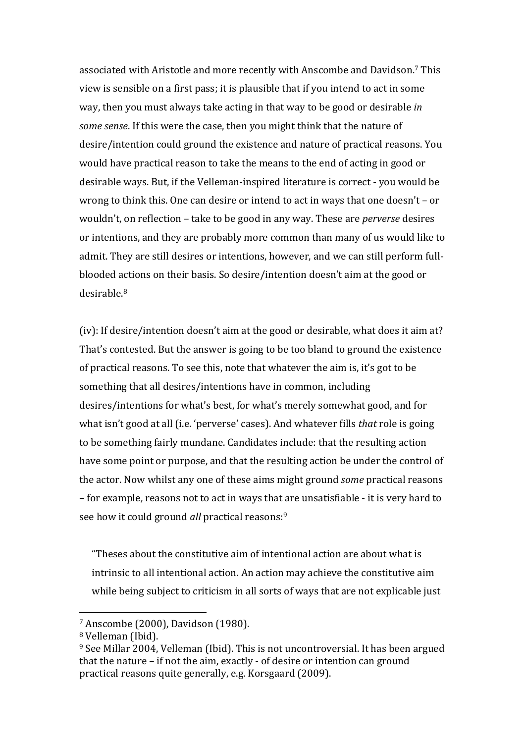associated with Aristotle and more recently with Anscombe and Davidson.<sup>7</sup> This view is sensible on a first pass; it is plausible that if you intend to act in some way, then you must always take acting in that way to be good or desirable *in some sense*. If this were the case, then you might think that the nature of desire/intention could ground the existence and nature of practical reasons. You would have practical reason to take the means to the end of acting in good or desirable ways. But, if the Velleman-inspired literature is correct - you would be wrong to think this. One can desire or intend to act in ways that one doesn't – or wouldn't, on reflection – take to be good in any way. These are *perverse* desires or intentions, and they are probably more common than many of us would like to admit. They are still desires or intentions, however, and we can still perform fullblooded actions on their basis. So desire/intention doesn't aim at the good or desirable. 8

(iv): If desire/intention doesn't aim at the good or desirable, what does it aim at? That's contested. But the answer is going to be too bland to ground the existence of practical reasons. To see this, note that whatever the aim is, it's got to be something that all desires/intentions have in common, including desires/intentions for what's best, for what's merely somewhat good, and for what isn't good at all (i.e. 'perverse' cases). And whatever fills *that* role is going to be something fairly mundane. Candidates include: that the resulting action have some point or purpose, and that the resulting action be under the control of the actor. Now whilst any one of these aims might ground *some* practical reasons – for example, reasons not to act in ways that are unsatisfiable - it is very hard to see how it could ground *all* practical reasons:<sup>9</sup>

"Theses about the constitutive aim of intentional action are about what is intrinsic to all intentional action. An action may achieve the constitutive aim while being subject to criticism in all sorts of ways that are not explicable just

<sup>&</sup>lt;sup>7</sup> Anscombe (2000), Davidson (1980).

<sup>&</sup>lt;sup>8</sup> Velleman (Ibid).

 $9$  See Millar 2004, Velleman (Ibid). This is not uncontroversial. It has been argued that the nature  $-$  if not the aim, exactly  $-$  of desire or intention can ground practical reasons quite generally, e.g. Korsgaard (2009).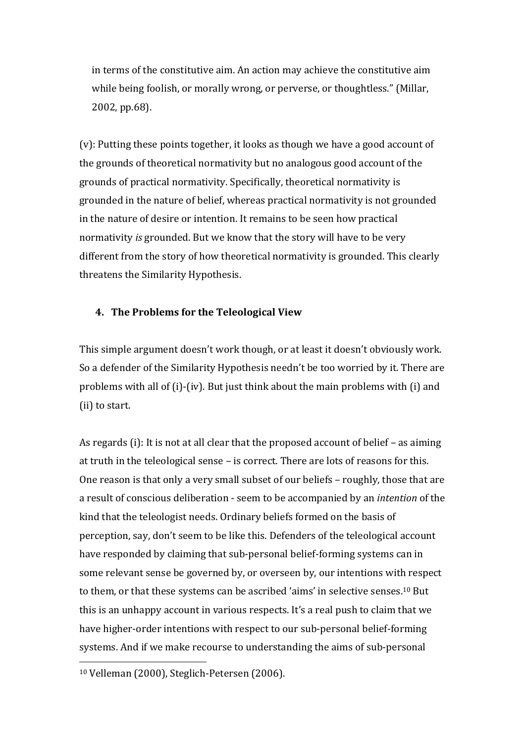in terms of the constitutive aim. An action may achieve the constitutive aim while being foolish, or morally wrong, or perverse, or thoughtless." (Millar, 2002, pp.68).

 $(v)$ : Putting these points together, it looks as though we have a good account of the grounds of theoretical normativity but no analogous good account of the grounds of practical normativity. Specifically, theoretical normativity is grounded in the nature of belief, whereas practical normativity is not grounded in the nature of desire or intention. It remains to be seen how practical normativity *is* grounded. But we know that the story will have to be very different from the story of how theoretical normativity is grounded. This clearly threatens the Similarity Hypothesis.

### **4. The Problems for the Teleological View**

This simple argument doesn't work though, or at least it doesn't obviously work. So a defender of the Similarity Hypothesis needn't be too worried by it. There are problems with all of  $(i)$ - $(iv)$ . But just think about the main problems with  $(i)$  and (ii) to start.

As regards  $(i)$ : It is not at all clear that the proposed account of belief  $-$  as aiming at truth in the teleological sense  $-$  is correct. There are lots of reasons for this. One reason is that only a very small subset of our beliefs – roughly, those that are a result of conscious deliberation - seem to be accompanied by an *intention* of the kind that the teleologist needs. Ordinary beliefs formed on the basis of perception, say, don't seem to be like this. Defenders of the teleological account have responded by claiming that sub-personal belief-forming systems can in some relevant sense be governed by, or overseen by, our intentions with respect to them, or that these systems can be ascribed 'aims' in selective senses.<sup>10</sup> But this is an unhappy account in various respects. It's a real push to claim that we have higher-order intentions with respect to our sub-personal belief-forming systems. And if we make recourse to understanding the aims of sub-personal

<sup>&</sup>lt;sup>10</sup> Velleman (2000), Steglich-Petersen (2006).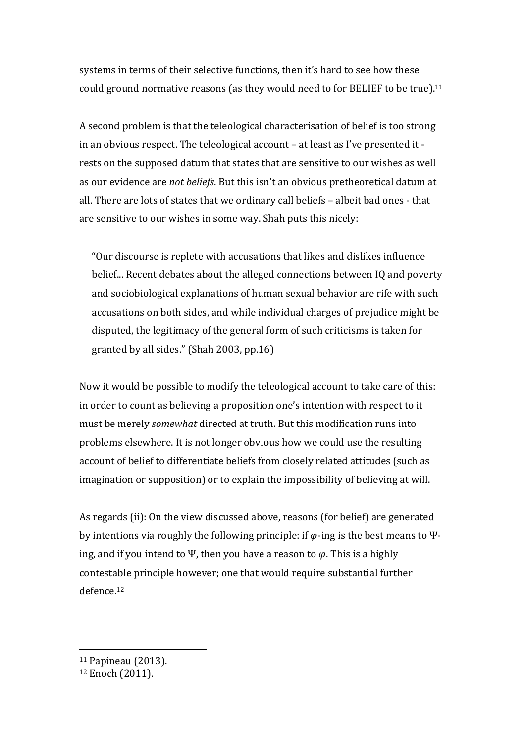systems in terms of their selective functions, then it's hard to see how these could ground normative reasons (as they would need to for BELIEF to be true).<sup>11</sup>

A second problem is that the teleological characterisation of belief is too strong in an obvious respect. The teleological account - at least as I've presented it rests on the supposed datum that states that are sensitive to our wishes as well as our evidence are *not beliefs*. But this isn't an obvious pretheoretical datum at all. There are lots of states that we ordinary call beliefs - albeit bad ones - that are sensitive to our wishes in some way. Shah puts this nicely:

"Our discourse is replete with accusations that likes and dislikes influence belief... Recent debates about the alleged connections between IQ and poverty and sociobiological explanations of human sexual behavior are rife with such accusations on both sides, and while individual charges of prejudice might be disputed, the legitimacy of the general form of such criticisms is taken for granted by all sides." (Shah  $2003$ , pp.16)

Now it would be possible to modify the teleological account to take care of this: in order to count as believing a proposition one's intention with respect to it must be merely *somewhat* directed at truth. But this modification runs into problems elsewhere. It is not longer obvious how we could use the resulting account of belief to differentiate beliefs from closely related attitudes (such as imagination or supposition) or to explain the impossibility of believing at will.

As regards (ii): On the view discussed above, reasons (for belief) are generated by intentions via roughly the following principle: if  $\varphi$ -ing is the best means to  $\Psi$ ing, and if you intend to  $\Psi$ , then you have a reason to  $\varphi$ . This is a highly contestable principle however; one that would require substantial further defence.12

<sup>&</sup>lt;sup>11</sup> Papineau (2013).

 $12$  Enoch (2011).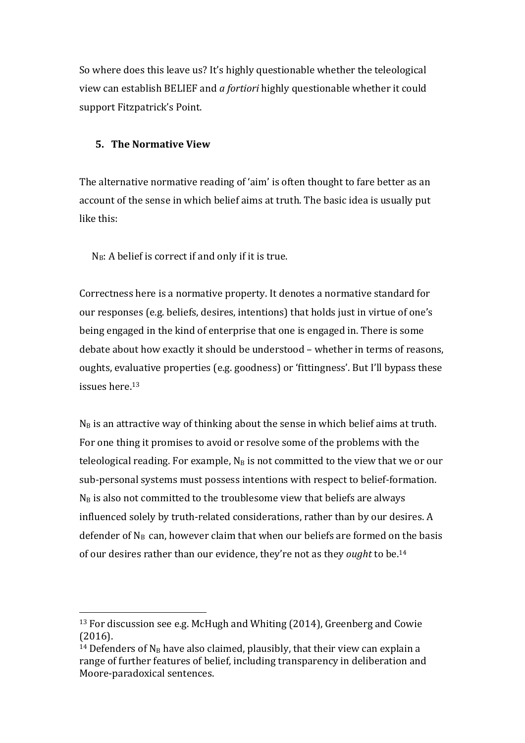So where does this leave us? It's highly questionable whether the teleological view can establish BELIEF and *a fortiori* highly questionable whether it could support Fitzpatrick's Point.

### **5. The Normative View**

 

The alternative normative reading of 'aim' is often thought to fare better as an account of the sense in which belief aims at truth. The basic idea is usually put like this:

 $N_B$ : A belief is correct if and only if it is true.

Correctness here is a normative property. It denotes a normative standard for our responses (e.g. beliefs, desires, intentions) that holds just in virtue of one's being engaged in the kind of enterprise that one is engaged in. There is some debate about how exactly it should be understood – whether in terms of reasons, oughts, evaluative properties (e.g. goodness) or 'fittingness'. But I'll bypass these issues here.<sup>13</sup>

 $N_B$  is an attractive way of thinking about the sense in which belief aims at truth. For one thing it promises to avoid or resolve some of the problems with the teleological reading. For example,  $N_B$  is not committed to the view that we or our sub-personal systems must possess intentions with respect to belief-formation.  $N_B$  is also not committed to the troublesome view that beliefs are always influenced solely by truth-related considerations, rather than by our desires. A defender of  $N_B$  can, however claim that when our beliefs are formed on the basis of our desires rather than our evidence, they're not as they *ought* to be.<sup>14</sup>

 $13$  For discussion see e.g. McHugh and Whiting (2014), Greenberg and Cowie (2016).

<sup>&</sup>lt;sup>14</sup> Defenders of  $N_B$  have also claimed, plausibly, that their view can explain a range of further features of belief, including transparency in deliberation and Moore-paradoxical sentences.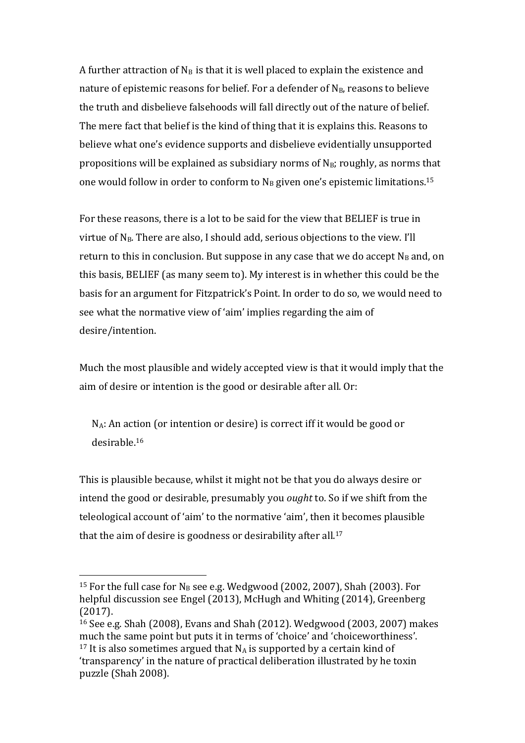A further attraction of  $N_B$  is that it is well placed to explain the existence and nature of epistemic reasons for belief. For a defender of  $N_B$ , reasons to believe the truth and disbelieve falsehoods will fall directly out of the nature of belief. The mere fact that belief is the kind of thing that it is explains this. Reasons to believe what one's evidence supports and disbelieve evidentially unsupported propositions will be explained as subsidiary norms of  $N_B$ ; roughly, as norms that one would follow in order to conform to  $N_B$  given one's epistemic limitations.<sup>15</sup>

For these reasons, there is a lot to be said for the view that BELIEF is true in virtue of  $N_B$ . There are also, I should add, serious objections to the view. I'll return to this in conclusion. But suppose in any case that we do accept  $N_B$  and, on this basis, BELIEF (as many seem to). My interest is in whether this could be the basis for an argument for Fitzpatrick's Point. In order to do so, we would need to see what the normative view of 'aim' implies regarding the aim of desire/intention.

Much the most plausible and widely accepted view is that it would imply that the aim of desire or intention is the good or desirable after all. Or:

 $N_A$ : An action (or intention or desire) is correct iff it would be good or desirable.16

This is plausible because, whilst it might not be that you do always desire or intend the good or desirable, presumably you *ought* to. So if we shift from the teleological account of 'aim' to the normative 'aim', then it becomes plausible that the aim of desire is goodness or desirability after all.<sup>17</sup>

<sup>&</sup>lt;sup>15</sup> For the full case for  $N_B$  see e.g. Wedgwood (2002, 2007), Shah (2003). For helpful discussion see Engel (2013), McHugh and Whiting (2014), Greenberg (2017).

 $16$  See e.g. Shah (2008), Evans and Shah (2012). Wedgwood (2003, 2007) makes much the same point but puts it in terms of 'choice' and 'choiceworthiness'. <sup>17</sup> It is also sometimes argued that  $N_A$  is supported by a certain kind of 'transparency' in the nature of practical deliberation illustrated by he toxin puzzle (Shah 2008).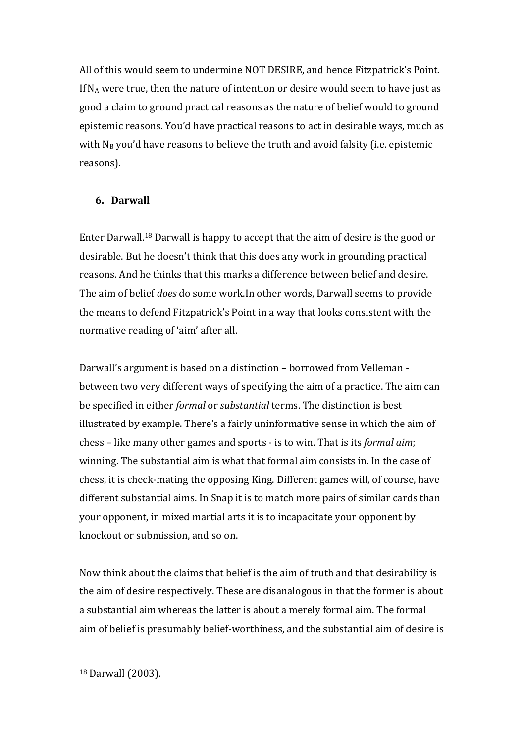All of this would seem to undermine NOT DESIRE, and hence Fitzpatrick's Point. If  $N_A$  were true, then the nature of intention or desire would seem to have just as good a claim to ground practical reasons as the nature of belief would to ground epistemic reasons. You'd have practical reasons to act in desirable ways, much as with  $N_B$  you'd have reasons to believe the truth and avoid falsity (i.e. epistemic reasons).

### **6. Darwall**

Enter Darwall.<sup>18</sup> Darwall is happy to accept that the aim of desire is the good or desirable. But he doesn't think that this does any work in grounding practical reasons. And he thinks that this marks a difference between belief and desire. The aim of belief *does* do some work.In other words, Darwall seems to provide the means to defend Fitzpatrick's Point in a way that looks consistent with the normative reading of 'aim' after all.

Darwall's argument is based on a distinction - borrowed from Velleman between two very different ways of specifying the aim of a practice. The aim can be specified in either *formal* or *substantial* terms. The distinction is best illustrated by example. There's a fairly uninformative sense in which the aim of chess – like many other games and sports - is to win. That is its *formal aim*; winning. The substantial aim is what that formal aim consists in. In the case of chess, it is check-mating the opposing King. Different games will, of course, have different substantial aims. In Snap it is to match more pairs of similar cards than your opponent, in mixed martial arts it is to incapacitate your opponent by knockout or submission, and so on.

Now think about the claims that belief is the aim of truth and that desirability is the aim of desire respectively. These are disanalogous in that the former is about a substantial aim whereas the latter is about a merely formal aim. The formal aim of belief is presumably belief-worthiness, and the substantial aim of desire is

 $18$  Darwall  $(2003)$ .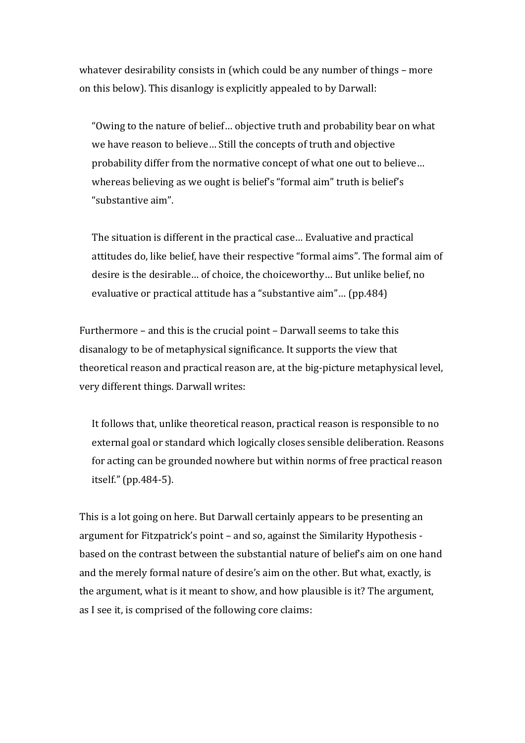whatever desirability consists in (which could be any number of things – more on this below). This disanlogy is explicitly appealed to by Darwall:

"Owing to the nature of belief... objective truth and probability bear on what we have reason to believe... Still the concepts of truth and objective probability differ from the normative concept of what one out to believe... whereas believing as we ought is belief's "formal aim" truth is belief's "substantive aim".

The situation is different in the practical case... Evaluative and practical attitudes do, like belief, have their respective "formal aims". The formal aim of desire is the desirable... of choice, the choiceworthy... But unlike belief, no evaluative or practical attitude has a "substantive aim"... (pp.484)

Furthermore – and this is the crucial point – Darwall seems to take this disanalogy to be of metaphysical significance. It supports the view that theoretical reason and practical reason are, at the big-picture metaphysical level, very different things. Darwall writes:

It follows that, unlike theoretical reason, practical reason is responsible to no external goal or standard which logically closes sensible deliberation. Reasons for acting can be grounded nowhere but within norms of free practical reason itself." (pp.484-5).

This is a lot going on here. But Darwall certainly appears to be presenting an argument for Fitzpatrick's point  $-$  and so, against the Similarity Hypothesis  $$ based on the contrast between the substantial nature of belief's aim on one hand and the merely formal nature of desire's aim on the other. But what, exactly, is the argument, what is it meant to show, and how plausible is it? The argument, as I see it, is comprised of the following core claims: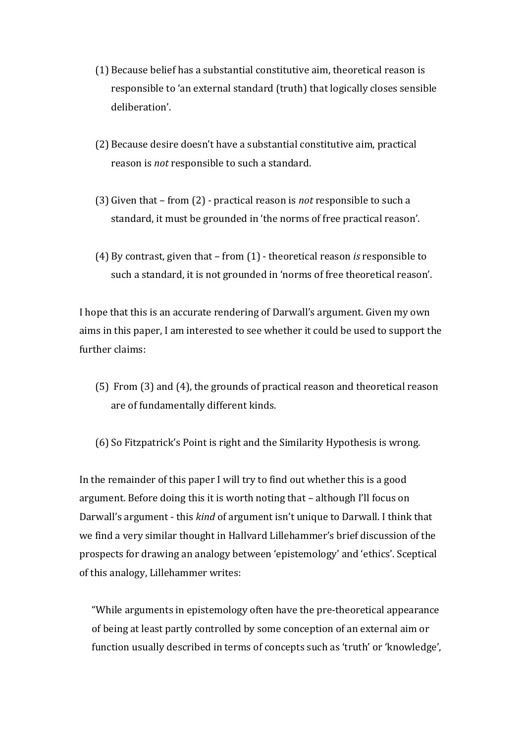- (1) Because belief has a substantial constitutive aim, theoretical reason is responsible to 'an external standard (truth) that logically closes sensible deliberation'.
- (2) Because desire doesn't have a substantial constitutive aim, practical reason is *not* responsible to such a standard.
- (3) Given that  $-$  from (2)  $-$  practical reason is *not* responsible to such a standard, it must be grounded in 'the norms of free practical reason'.
- (4) By contrast, given that from (1) theoretical reason *is* responsible to such a standard, it is not grounded in 'norms of free theoretical reason'.

I hope that this is an accurate rendering of Darwall's argument. Given my own aims in this paper, I am interested to see whether it could be used to support the further claims:

- (5) From  $(3)$  and  $(4)$ , the grounds of practical reason and theoretical reason are of fundamentally different kinds.
- (6) So Fitzpatrick's Point is right and the Similarity Hypothesis is wrong.

In the remainder of this paper I will try to find out whether this is a good argument. Before doing this it is worth noting that – although I'll focus on Darwall's argument - this *kind* of argument isn't unique to Darwall. I think that we find a very similar thought in Hallvard Lillehammer's brief discussion of the prospects for drawing an analogy between 'epistemology' and 'ethics'. Sceptical of this analogy, Lillehammer writes:

"While arguments in epistemology often have the pre-theoretical appearance of being at least partly controlled by some conception of an external aim or function usually described in terms of concepts such as 'truth' or 'knowledge',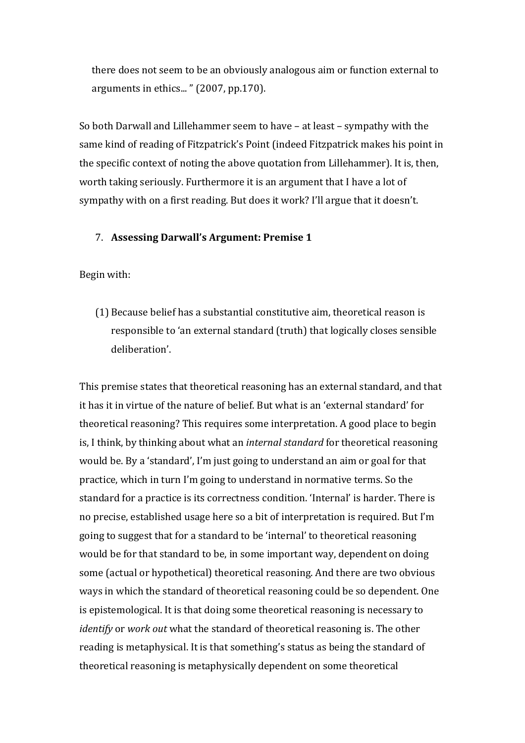there does not seem to be an obviously analogous aim or function external to arguments in ethics..."  $(2007, pp.170)$ .

So both Darwall and Lillehammer seem to have - at least - sympathy with the same kind of reading of Fitzpatrick's Point (indeed Fitzpatrick makes his point in the specific context of noting the above quotation from Lillehammer). It is, then, worth taking seriously. Furthermore it is an argument that I have a lot of sympathy with on a first reading. But does it work? I'll argue that it doesn't.

### 7. Assessing Darwall's Argument: Premise 1

Begin with:

(1) Because belief has a substantial constitutive aim, theoretical reason is responsible to 'an external standard (truth) that logically closes sensible deliberation'.

This premise states that theoretical reasoning has an external standard, and that it has it in virtue of the nature of belief. But what is an 'external standard' for theoretical reasoning? This requires some interpretation. A good place to begin is, I think, by thinking about what an *internal standard* for theoretical reasoning would be. By a 'standard', I'm just going to understand an aim or goal for that practice, which in turn I'm going to understand in normative terms. So the standard for a practice is its correctness condition. 'Internal' is harder. There is no precise, established usage here so a bit of interpretation is required. But I'm going to suggest that for a standard to be 'internal' to theoretical reasoning would be for that standard to be, in some important way, dependent on doing some (actual or hypothetical) theoretical reasoning. And there are two obvious ways in which the standard of theoretical reasoning could be so dependent. One is epistemological. It is that doing some theoretical reasoning is necessary to *identify* or *work out* what the standard of theoretical reasoning is. The other reading is metaphysical. It is that something's status as being the standard of theoretical reasoning is metaphysically dependent on some theoretical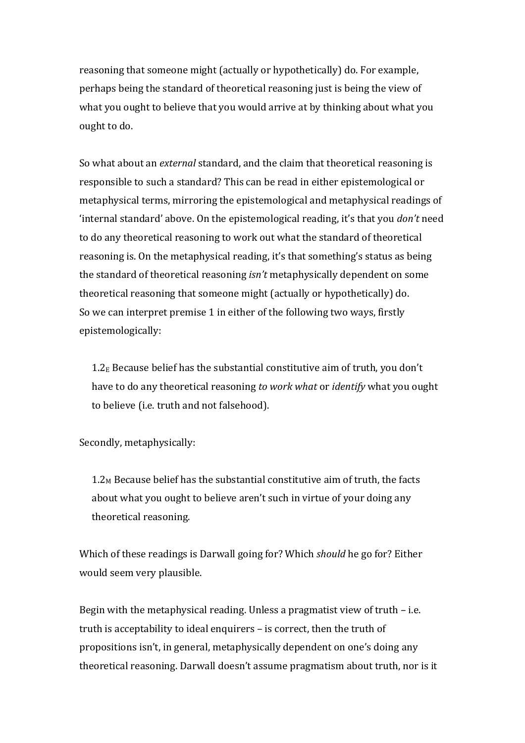reasoning that someone might (actually or hypothetically) do. For example, perhaps being the standard of theoretical reasoning just is being the view of what you ought to believe that you would arrive at by thinking about what you ought to do.

So what about an *external* standard, and the claim that theoretical reasoning is responsible to such a standard? This can be read in either epistemological or metaphysical terms, mirroring the epistemological and metaphysical readings of 'internal standard' above. On the epistemological reading, it's that you *don't* need to do any theoretical reasoning to work out what the standard of theoretical reasoning is. On the metaphysical reading, it's that something's status as being the standard of theoretical reasoning *isn't* metaphysically dependent on some theoretical reasoning that someone might (actually or hypothetically) do. So we can interpret premise 1 in either of the following two ways, firstly epistemologically:

 $1.2<sub>E</sub>$  Because belief has the substantial constitutive aim of truth, you don't have to do any theoretical reasoning to work what or *identify* what you ought to believe (i.e. truth and not falsehood).

Secondly, metaphysically:

 $1.2_M$  Because belief has the substantial constitutive aim of truth, the facts about what you ought to believe aren't such in virtue of your doing any theoretical reasoning.

Which of these readings is Darwall going for? Which *should* he go for? Either would seem very plausible.

Begin with the metaphysical reading. Unless a pragmatist view of truth  $-$  i.e. truth is acceptability to ideal enquirers  $-$  is correct, then the truth of propositions isn't, in general, metaphysically dependent on one's doing any theoretical reasoning. Darwall doesn't assume pragmatism about truth, nor is it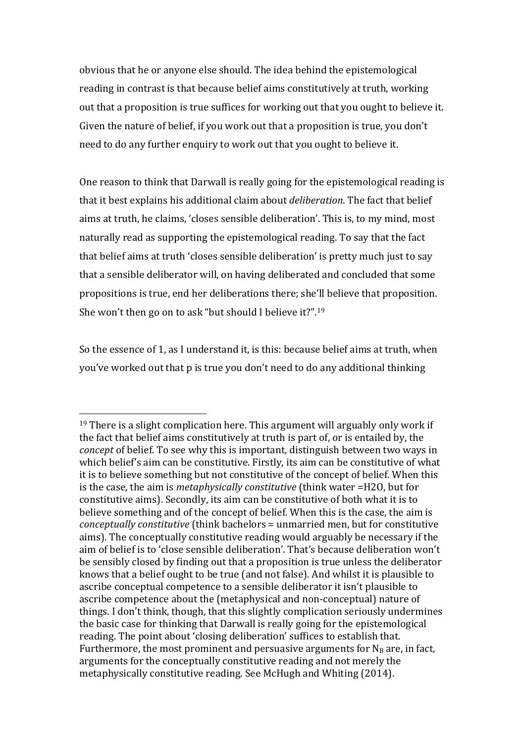obvious that he or anyone else should. The idea behind the epistemological reading in contrast is that because belief aims constitutively at truth, working out that a proposition is true suffices for working out that you ought to believe it. Given the nature of belief, if you work out that a proposition is true, you don't need to do any further enquiry to work out that you ought to believe it.

One reason to think that Darwall is really going for the epistemological reading is that it best explains his additional claim about *deliberation*. The fact that belief aims at truth, he claims, 'closes sensible deliberation'. This is, to my mind, most naturally read as supporting the epistemological reading. To say that the fact that belief aims at truth 'closes sensible deliberation' is pretty much just to say that a sensible deliberator will, on having deliberated and concluded that some propositions is true, end her deliberations there; she'll believe that proposition. She won't then go on to ask "but should I believe it?".<sup>19</sup>

So the essence of 1, as I understand it, is this: because belief aims at truth, when you've worked out that p is true you don't need to do any additional thinking

 $19$  There is a slight complication here. This argument will arguably only work if the fact that belief aims constitutively at truth is part of, or is entailed by, the *concept* of belief. To see why this is important, distinguish between two ways in which belief's aim can be constitutive. Firstly, its aim can be constitutive of what it is to believe something but not constitutive of the concept of belief. When this is the case, the aim is *metaphysically constitutive* (think water =H2O, but for constitutive aims). Secondly, its aim can be constitutive of both what it is to believe something and of the concept of belief. When this is the case, the aim is *conceptually constitutive* (think bachelors = unmarried men, but for constitutive aims). The conceptually constitutive reading would arguably be necessary if the aim of belief is to 'close sensible deliberation'. That's because deliberation won't be sensibly closed by finding out that a proposition is true unless the deliberator knows that a belief ought to be true (and not false). And whilst it is plausible to ascribe conceptual competence to a sensible deliberator it isn't plausible to ascribe competence about the (metaphysical and non-conceptual) nature of things. I don't think, though, that this slightly complication seriously undermines the basic case for thinking that Darwall is really going for the epistemological reading. The point about 'closing deliberation' suffices to establish that. Furthermore, the most prominent and persuasive arguments for  $N_B$  are, in fact, arguments for the conceptually constitutive reading and not merely the metaphysically constitutive reading. See McHugh and Whiting (2014).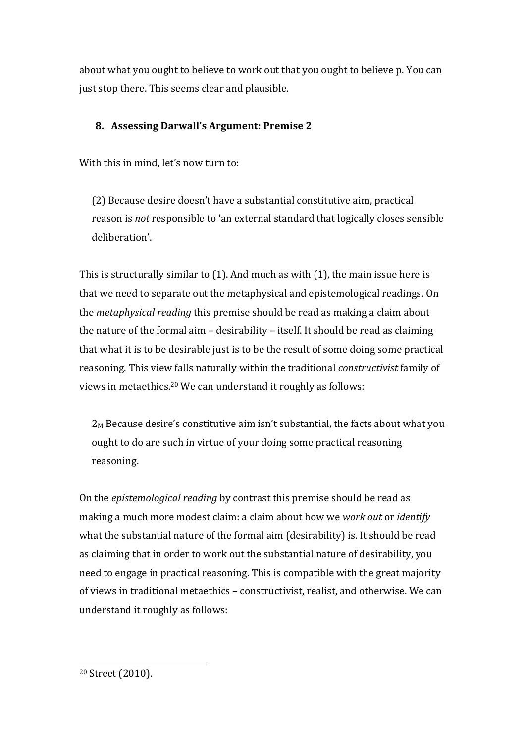about what you ought to believe to work out that you ought to believe p. You can just stop there. This seems clear and plausible.

## **8. Assessing Darwall's Argument: Premise 2**

With this in mind, let's now turn to:

(2) Because desire doesn't have a substantial constitutive aim, practical reason is *not* responsible to 'an external standard that logically closes sensible deliberation'.

This is structurally similar to  $(1)$ . And much as with  $(1)$ , the main issue here is that we need to separate out the metaphysical and epistemological readings. On the *metaphysical reading* this premise should be read as making a claim about the nature of the formal aim  $-$  desirability  $-$  itself. It should be read as claiming that what it is to be desirable just is to be the result of some doing some practical reasoning. This view falls naturally within the traditional *constructivist* family of views in metaethics.<sup>20</sup> We can understand it roughly as follows:

 $2_M$  Because desire's constitutive aim isn't substantial, the facts about what you ought to do are such in virtue of your doing some practical reasoning reasoning.

On the *epistemological reading* by contrast this premise should be read as making a much more modest claim: a claim about how we *work out* or *identify* what the substantial nature of the formal aim (desirability) is. It should be read as claiming that in order to work out the substantial nature of desirability, you need to engage in practical reasoning. This is compatible with the great majority of views in traditional metaethics – constructivist, realist, and otherwise. We can understand it roughly as follows:

<sup>&</sup>lt;sup>20</sup> Street (2010).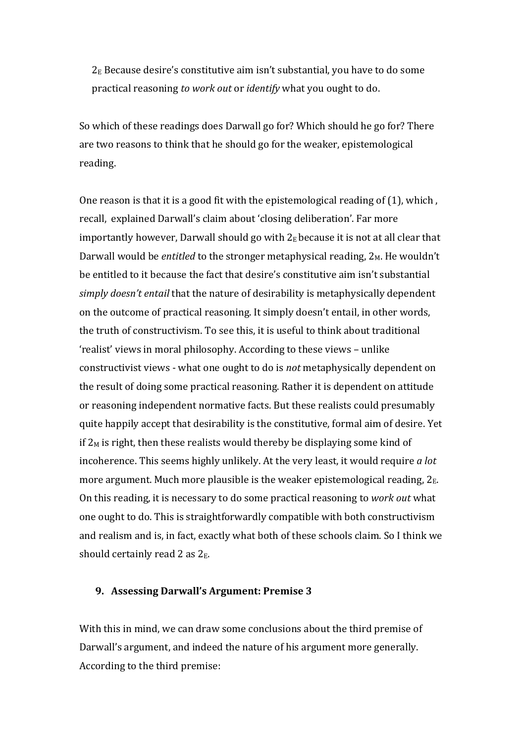$2<sub>E</sub>$  Because desire's constitutive aim isn't substantial, you have to do some practical reasoning to work out or *identify* what you ought to do.

So which of these readings does Darwall go for? Which should he go for? There are two reasons to think that he should go for the weaker, epistemological reading.

One reason is that it is a good fit with the epistemological reading of  $(1)$ , which, recall, explained Darwall's claim about 'closing deliberation'. Far more importantly however, Darwall should go with  $2<sub>E</sub>$  because it is not at all clear that Darwall would be *entitled* to the stronger metaphysical reading, 2<sub>M</sub>. He wouldn't be entitled to it because the fact that desire's constitutive aim isn't substantial *simply doesn't entail* that the nature of desirability is metaphysically dependent on the outcome of practical reasoning. It simply doesn't entail, in other words, the truth of constructivism. To see this, it is useful to think about traditional 'realist' views in moral philosophy. According to these views – unlike constructivist views - what one ought to do is *not* metaphysically dependent on the result of doing some practical reasoning. Rather it is dependent on attitude or reasoning independent normative facts. But these realists could presumably quite happily accept that desirability is the constitutive, formal aim of desire. Yet if  $2_M$  is right, then these realists would thereby be displaying some kind of incoherence. This seems highly unlikely. At the very least, it would require *a lot* more argument. Much more plausible is the weaker epistemological reading,  $2_E$ . On this reading, it is necessary to do some practical reasoning to *work out* what one ought to do. This is straightforwardly compatible with both constructivism and realism and is, in fact, exactly what both of these schools claim. So I think we should certainly read 2 as  $2_E$ .

#### **9. Assessing Darwall's Argument: Premise 3**

With this in mind, we can draw some conclusions about the third premise of Darwall's argument, and indeed the nature of his argument more generally. According to the third premise: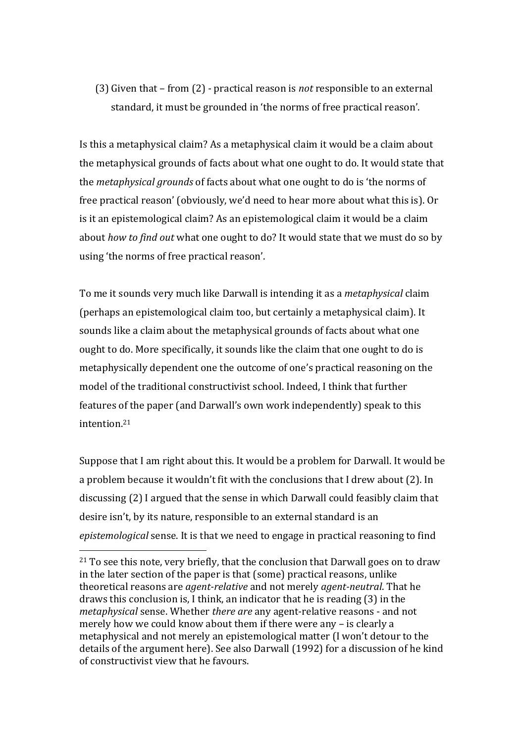(3) Given that  $-$  from (2)  $-$  practical reason is *not* responsible to an external standard, it must be grounded in 'the norms of free practical reason'.

Is this a metaphysical claim? As a metaphysical claim it would be a claim about the metaphysical grounds of facts about what one ought to do. It would state that the *metaphysical grounds* of facts about what one ought to do is 'the norms of free practical reason' (obviously, we'd need to hear more about what this is). Or is it an epistemological claim? As an epistemological claim it would be a claim about *how to find out* what one ought to do? It would state that we must do so by using 'the norms of free practical reason'.

To me it sounds very much like Darwall is intending it as a *metaphysical* claim (perhaps an epistemological claim too, but certainly a metaphysical claim). It sounds like a claim about the metaphysical grounds of facts about what one ought to do. More specifically, it sounds like the claim that one ought to do is metaphysically dependent one the outcome of one's practical reasoning on the model of the traditional constructivist school. Indeed, I think that further features of the paper (and Darwall's own work independently) speak to this intention.21

Suppose that I am right about this. It would be a problem for Darwall. It would be a problem because it wouldn't fit with the conclusions that I drew about (2). In discussing  $(2)$  I argued that the sense in which Darwall could feasibly claim that desire isn't, by its nature, responsible to an external standard is an *epistemological* sense. It is that we need to engage in practical reasoning to find

 $21$  To see this note, very briefly, that the conclusion that Darwall goes on to draw in the later section of the paper is that (some) practical reasons, unlike theoretical reasons are *agent-relative* and not merely *agent-neutral*. That he draws this conclusion is, I think, an indicator that he is reading  $(3)$  in the *metaphysical* sense. Whether *there are* any agent-relative reasons - and not merely how we could know about them if there were any  $-$  is clearly a metaphysical and not merely an epistemological matter (I won't detour to the details of the argument here). See also Darwall (1992) for a discussion of he kind of constructivist view that he favours.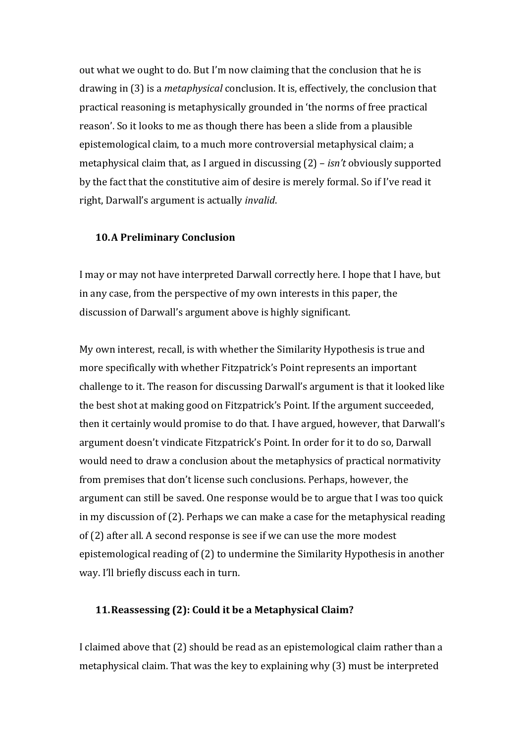out what we ought to do. But I'm now claiming that the conclusion that he is drawing in (3) is a *metaphysical* conclusion. It is, effectively, the conclusion that practical reasoning is metaphysically grounded in 'the norms of free practical reason'. So it looks to me as though there has been a slide from a plausible epistemological claim, to a much more controversial metaphysical claim; a metaphysical claim that, as I argued in discussing  $(2) - isn't$  obviously supported by the fact that the constitutive aim of desire is merely formal. So if I've read it right, Darwall's argument is actually *invalid*.

#### **10.A Preliminary Conclusion**

I may or may not have interpreted Darwall correctly here. I hope that I have, but in any case, from the perspective of my own interests in this paper, the discussion of Darwall's argument above is highly significant.

My own interest, recall, is with whether the Similarity Hypothesis is true and more specifically with whether Fitzpatrick's Point represents an important challenge to it. The reason for discussing Darwall's argument is that it looked like the best shot at making good on Fitzpatrick's Point. If the argument succeeded, then it certainly would promise to do that. I have argued, however, that Darwall's argument doesn't vindicate Fitzpatrick's Point. In order for it to do so, Darwall would need to draw a conclusion about the metaphysics of practical normativity from premises that don't license such conclusions. Perhaps, however, the argument can still be saved. One response would be to argue that I was too quick in my discussion of  $(2)$ . Perhaps we can make a case for the metaphysical reading of (2) after all. A second response is see if we can use the more modest epistemological reading of  $(2)$  to undermine the Similarity Hypothesis in another way. I'll briefly discuss each in turn.

#### **11. Reassessing (2): Could it be a Metaphysical Claim?**

I claimed above that (2) should be read as an epistemological claim rather than a metaphysical claim. That was the key to explaining why (3) must be interpreted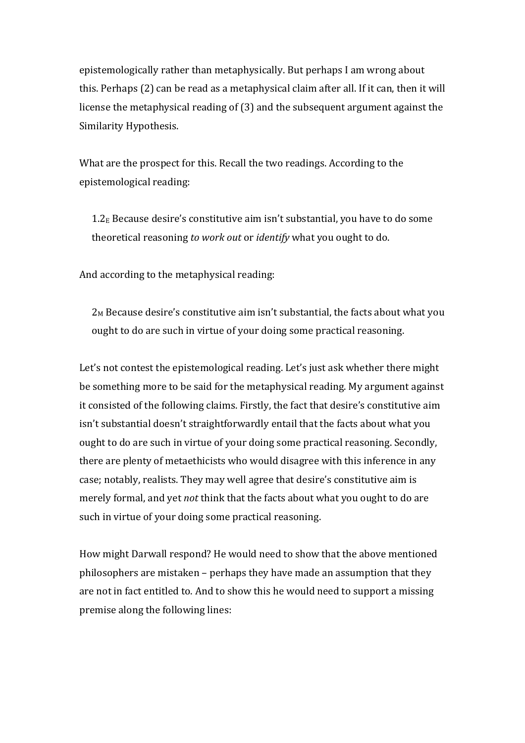epistemologically rather than metaphysically. But perhaps I am wrong about this. Perhaps (2) can be read as a metaphysical claim after all. If it can, then it will license the metaphysical reading of  $(3)$  and the subsequent argument against the Similarity Hypothesis.

What are the prospect for this. Recall the two readings. According to the epistemological reading:

 $1.2<sub>E</sub>$  Because desire's constitutive aim isn't substantial, you have to do some theoretical reasoning *to work out* or *identify* what you ought to do.

And according to the metaphysical reading:

 $2_M$  Because desire's constitutive aim isn't substantial, the facts about what you ought to do are such in virtue of your doing some practical reasoning.

Let's not contest the epistemological reading. Let's just ask whether there might be something more to be said for the metaphysical reading. My argument against it consisted of the following claims. Firstly, the fact that desire's constitutive aim isn't substantial doesn't straightforwardly entail that the facts about what you ought to do are such in virtue of your doing some practical reasoning. Secondly, there are plenty of metaethicists who would disagree with this inference in any case; notably, realists. They may well agree that desire's constitutive aim is merely formal, and yet *not* think that the facts about what you ought to do are such in virtue of vour doing some practical reasoning.

How might Darwall respond? He would need to show that the above mentioned philosophers are mistaken  $-$  perhaps they have made an assumption that they are not in fact entitled to. And to show this he would need to support a missing premise along the following lines: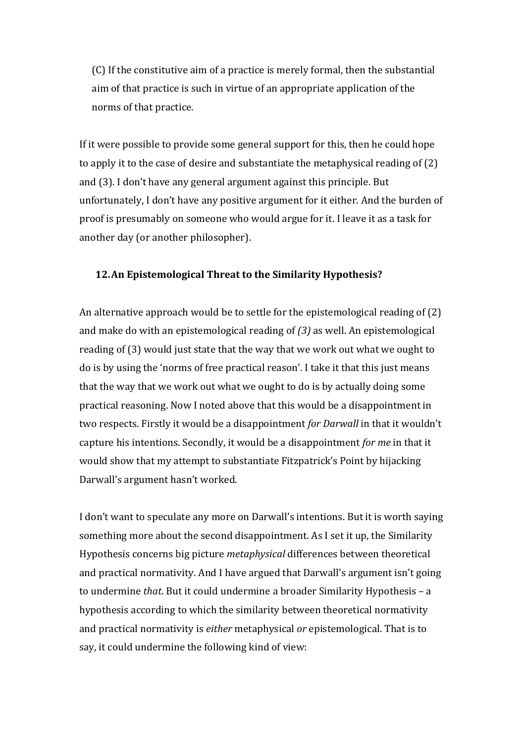(C) If the constitutive aim of a practice is merely formal, then the substantial aim of that practice is such in virtue of an appropriate application of the norms of that practice.

If it were possible to provide some general support for this, then he could hope to apply it to the case of desire and substantiate the metaphysical reading of  $(2)$ and (3). I don't have any general argument against this principle. But unfortunately, I don't have any positive argument for it either. And the burden of proof is presumably on someone who would argue for it. I leave it as a task for another day (or another philosopher).

### **12.An Epistemological Threat to the Similarity Hypothesis?**

An alternative approach would be to settle for the epistemological reading of  $(2)$ and make do with an epistemological reading of (3) as well. An epistemological reading of (3) would just state that the way that we work out what we ought to do is by using the 'norms of free practical reason'. I take it that this just means that the way that we work out what we ought to do is by actually doing some practical reasoning. Now I noted above that this would be a disappointment in two respects. Firstly it would be a disappointment *for Darwall* in that it wouldn't capture his intentions. Secondly, it would be a disappointment *for me* in that it would show that my attempt to substantiate Fitzpatrick's Point by hijacking Darwall's argument hasn't worked.

I don't want to speculate any more on Darwall's intentions. But it is worth saying something more about the second disappointment. As I set it up, the Similarity Hypothesis concerns big picture *metaphysical* differences between theoretical and practical normativity. And I have argued that Darwall's argument isn't going to undermine *that*. But it could undermine a broader Similarity Hypothesis - a hypothesis according to which the similarity between theoretical normativity and practical normativity is *either* metaphysical *or* epistemological. That is to say, it could undermine the following kind of view: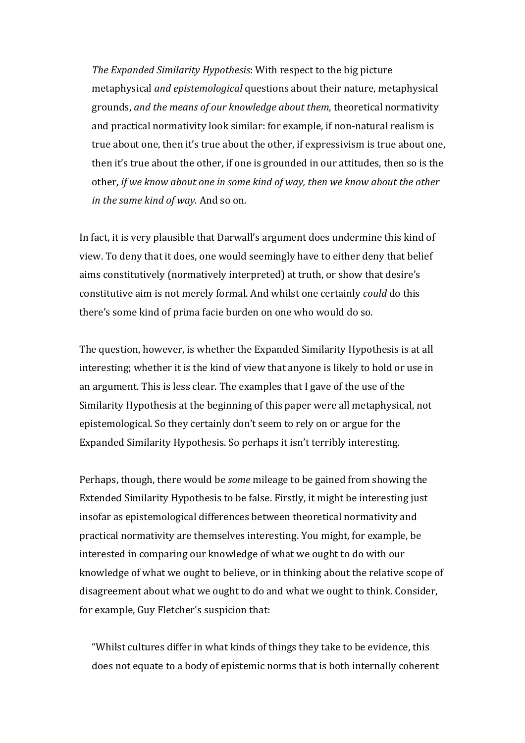*The Expanded Similarity Hypothesis:* With respect to the big picture metaphysical *and epistemological* questions about their nature, metaphysical grounds, and the means of our knowledge about them, theoretical normativity and practical normativity look similar: for example, if non-natural realism is true about one, then it's true about the other, if expressivism is true about one, then it's true about the other, if one is grounded in our attitudes, then so is the other, *if* we know about one in some kind of way, then we know about the other *in the same kind of way*. And so on.

In fact, it is very plausible that Darwall's argument does undermine this kind of view. To deny that it does, one would seemingly have to either deny that belief aims constitutively (normatively interpreted) at truth, or show that desire's constitutive aim is not merely formal. And whilst one certainly *could* do this there's some kind of prima facie burden on one who would do so.

The question, however, is whether the Expanded Similarity Hypothesis is at all interesting; whether it is the kind of view that anyone is likely to hold or use in an argument. This is less clear. The examples that I gave of the use of the Similarity Hypothesis at the beginning of this paper were all metaphysical, not epistemological. So they certainly don't seem to rely on or argue for the Expanded Similarity Hypothesis. So perhaps it isn't terribly interesting.

Perhaps, though, there would be *some* mileage to be gained from showing the Extended Similarity Hypothesis to be false. Firstly, it might be interesting just insofar as epistemological differences between theoretical normativity and practical normativity are themselves interesting. You might, for example, be interested in comparing our knowledge of what we ought to do with our knowledge of what we ought to believe, or in thinking about the relative scope of disagreement about what we ought to do and what we ought to think. Consider, for example, Guy Fletcher's suspicion that:

"Whilst cultures differ in what kinds of things they take to be evidence, this does not equate to a body of epistemic norms that is both internally coherent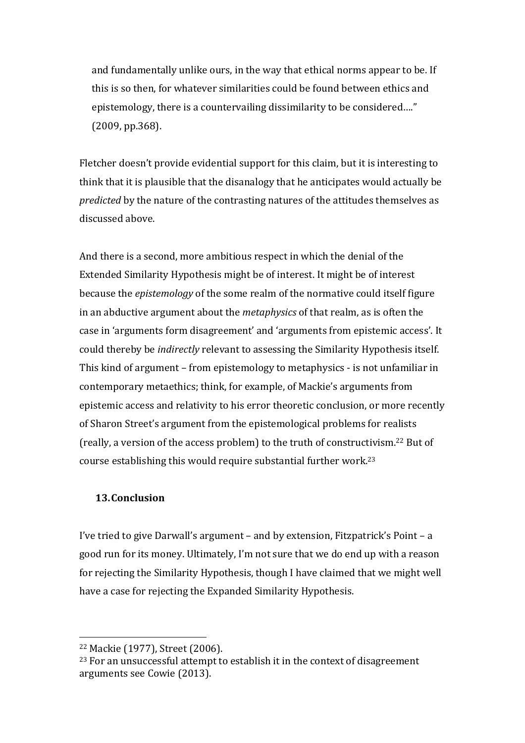and fundamentally unlike ours, in the way that ethical norms appear to be. If this is so then, for whatever similarities could be found between ethics and epistemology, there is a countervailing dissimilarity to be considered...."  $(2009, pp.368)$ .

Fletcher doesn't provide evidential support for this claim, but it is interesting to think that it is plausible that the disanalogy that he anticipates would actually be *predicted* by the nature of the contrasting natures of the attitudes themselves as discussed above.

And there is a second, more ambitious respect in which the denial of the Extended Similarity Hypothesis might be of interest. It might be of interest because the *epistemology* of the some realm of the normative could itself figure in an abductive argument about the *metaphysics* of that realm, as is often the case in 'arguments form disagreement' and 'arguments from epistemic access'. It could thereby be *indirectly* relevant to assessing the Similarity Hypothesis itself. This kind of argument  $-$  from epistemology to metaphysics  $-$  is not unfamiliar in contemporary metaethics; think, for example, of Mackie's arguments from epistemic access and relativity to his error theoretic conclusion, or more recently of Sharon Street's argument from the epistemological problems for realists (really, a version of the access problem) to the truth of constructivism.<sup>22</sup> But of course establishing this would require substantial further work.<sup>23</sup>

### **13.Conclusion**

I've tried to give Darwall's argument  $-$  and by extension, Fitzpatrick's Point  $-$  a good run for its money. Ultimately, I'm not sure that we do end up with a reason for rejecting the Similarity Hypothesis, though I have claimed that we might well have a case for rejecting the Expanded Similarity Hypothesis.

<sup>&</sup>lt;sup>22</sup> Mackie (1977), Street (2006).

 $23$  For an unsuccessful attempt to establish it in the context of disagreement arguments see Cowie (2013).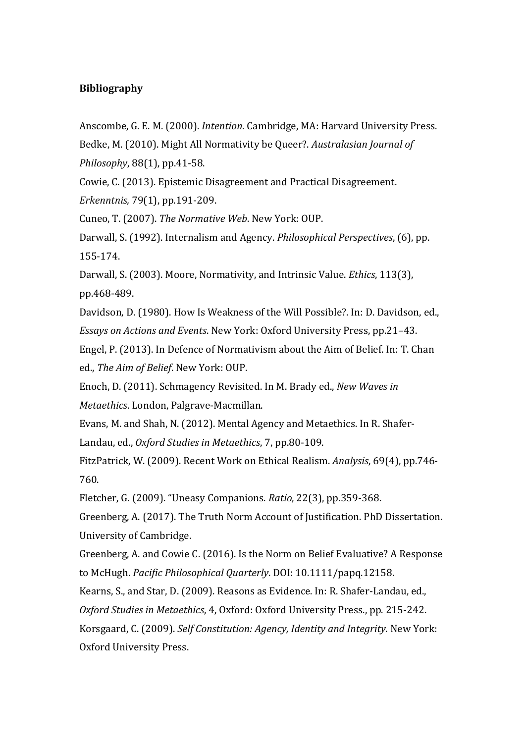### **Bibliography**

Anscombe, G. E. M. (2000). *Intention*. Cambridge, MA: Harvard University Press. Bedke, M. (2010). Might All Normativity be Queer?. Australasian Journal of

*Philosophy*, 88(1), pp.41-58.

Cowie, C. (2013). Epistemic Disagreement and Practical Disagreement.

*Erkenntnis,* 79(1), pp.191-209.

Cuneo, T. (2007). *The Normative Web*. New York: OUP.

Darwall, S. (1992). Internalism and Agency. *Philosophical Perspectives*, (6), pp. 155-174.

Darwall, S. (2003). Moore, Normativity, and Intrinsic Value. *Ethics*, 113(3), pp.468-489. 

Davidson, D. (1980). How Is Weakness of the Will Possible?. In: D. Davidson, ed., *Essays on Actions and Events.* New York: Oxford University Press, pp.21-43.

Engel, P. (2013). In Defence of Normativism about the Aim of Belief. In: T. Chan ed., The Aim of Belief. New York: OUP.

Enoch, D. (2011). Schmagency Revisited. In M. Brady ed., *New Waves in Metaethics.* London, Palgrave-Macmillan.

Evans, M. and Shah, N. (2012). Mental Agency and Metaethics. In R. Shafer-Landau, ed., Oxford Studies in Metaethics, 7, pp.80-109.

FitzPatrick, W. (2009). Recent Work on Ethical Realism. *Analysis*, 69(4), pp.746- 760. 

Fletcher, G. (2009). "Uneasy Companions. *Ratio*, 22(3), pp.359-368.

Greenberg, A. (2017). The Truth Norm Account of Justification. PhD Dissertation. University of Cambridge.

Greenberg, A. and Cowie C. (2016). Is the Norm on Belief Evaluative? A Response to McHugh. *Pacific Philosophical Quarterly*. DOI: 10.1111/papq.12158.

Kearns, S., and Star, D. (2009). Reasons as Evidence. In: R. Shafer-Landau, ed.,

*Oxford Studies in Metaethics*, 4, Oxford: Oxford University Press., pp. 215-242.

Korsgaard, C. (2009). *Self Constitution: Agency, Identity and Integrity*. New York: Oxford University Press.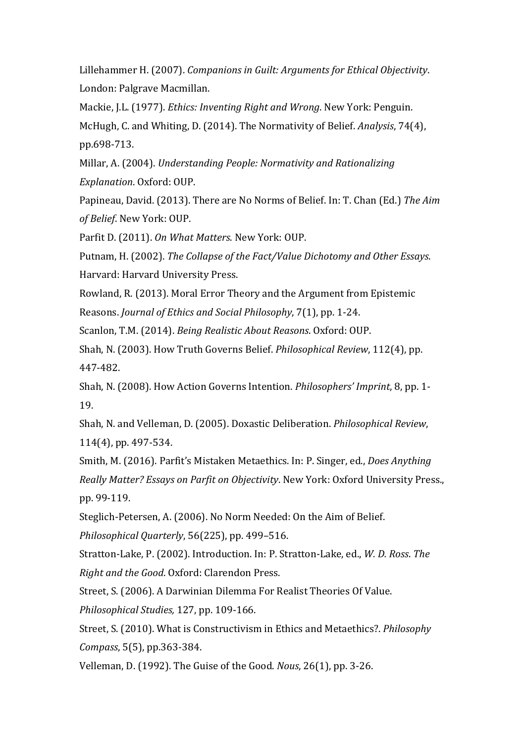Lillehammer H. (2007). *Companions in Guilt: Arguments for Ethical Objectivity*. London: Palgrave Macmillan.

Mackie, J.L. (1977). *Ethics: Inventing Right and Wrong*. New York: Penguin.

McHugh, C. and Whiting, D. (2014). The Normativity of Belief. *Analysis*, 74(4), pp.698-713.

Millar, A. (2004). *Understanding People: Normativity and Rationalizing Explanation*. Oxford: OUP.

Papineau, David. (2013). There are No Norms of Belief. In: T. Chan (Ed.) The Aim *of Belief*. New York: OUP.

Parfit D. (2011). *On What Matters*. New York: OUP.

Putnam, H. (2002). *The Collapse of the Fact/Value Dichotomy and Other Essays.* Harvard: Harvard University Press.

Rowland, R. (2013). Moral Error Theory and the Argument from Epistemic Reasons. *Journal of Ethics and Social Philosophy*, 7(1), pp. 1-24.

Scanlon, T.M. (2014). *Being Realistic About Reasons*. Oxford: OUP.

Shah, N. (2003). How Truth Governs Belief. *Philosophical Review*, 112(4), pp. 447-482.

Shah, N. (2008). How Action Governs Intention. *Philosophers' Imprint*, 8, pp. 1-19.

Shah, N. and Velleman, D. (2005). Doxastic Deliberation. *Philosophical Review*, 114(4), pp. 497-534.

Smith, M. (2016). Parfit's Mistaken Metaethics. In: P. Singer, ed., *Does Anything Really Matter? Essays on Parfit on Objectivity*. New York: Oxford University Press., pp. 99-119.

Steglich-Petersen, A. (2006). No Norm Needed: On the Aim of Belief.

*Philosophical Quarterly*, 56(225), pp. 499–516.

Stratton-Lake, P. (2002). Introduction. In: P. Stratton-Lake, ed., *W. D. Ross. The Right and the Good.* Oxford: Clarendon Press.

Street, S. (2006). A Darwinian Dilemma For Realist Theories Of Value.

*Philosophical Studies, 127, pp. 109-166.* 

Street, S. (2010). What is Constructivism in Ethics and Metaethics?. *Philosophy Compass*, 5(5), pp.363-384.

Velleman, D. (1992). The Guise of the Good. *Nous*, 26(1), pp. 3-26.